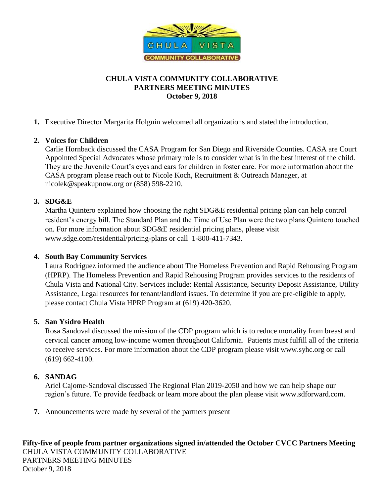

# **CHULA VISTA COMMUNITY COLLABORATIVE PARTNERS MEETING MINUTES October 9, 2018**

**1.** Executive Director Margarita Holguin welcomed all organizations and stated the introduction.

## **2. Voices for Children**

Carlie Hornback discussed the CASA Program for San Diego and Riverside Counties. CASA are Court Appointed Special Advocates whose primary role is to consider what is in the best interest of the child. They are the Juvenile Court's eyes and ears for children in foster care. For more information about the CASA program please reach out to Nicole Koch, Recruitment & Outreach Manager, at [nicolek@speakupnow.org](mailto:nicolek@speakupnow.org) or (858) 598-2210.

## **3. SDG&E**

Martha Quintero explained how choosing the right SDG&E residential pricing plan can help control resident's energy bill. The Standard Plan and the Time of Use Plan were the two plans Quintero touched on. For more information about SDG&E residential pricing plans, please visit [www.sdge.com/residential/pricing-plans](http://www.sdge.com/residential/pricing-plans) or call 1-800-411-7343.

### **4. South Bay Community Services**

Laura Rodriguez informed the audience about The Homeless Prevention and Rapid Rehousing Program (HPRP). The Homeless Prevention and Rapid Rehousing Program provides services to the residents of Chula Vista and National City. Services include: Rental Assistance, Security Deposit Assistance, Utility Assistance, Legal resources for tenant/landlord issues. To determine if you are pre-eligible to apply, please contact Chula Vista HPRP Program at (619) 420-3620.

### **5. San Ysidro Health**

Rosa Sandoval discussed the mission of the CDP program which is to reduce mortality from breast and cervical cancer among low-income women throughout California. Patients must fulfill all of the criteria to receive services. For more information about the CDP program please visit www.syhc.org or call (619) 662-4100.

### **6. SANDAG**

Ariel Cajome-Sandoval discussed The Regional Plan 2019-2050 and how we can help shape our region's future. To provide feedback or learn more about the plan please visit www.sdforward.com.

**7.** Announcements were made by several of the partners present